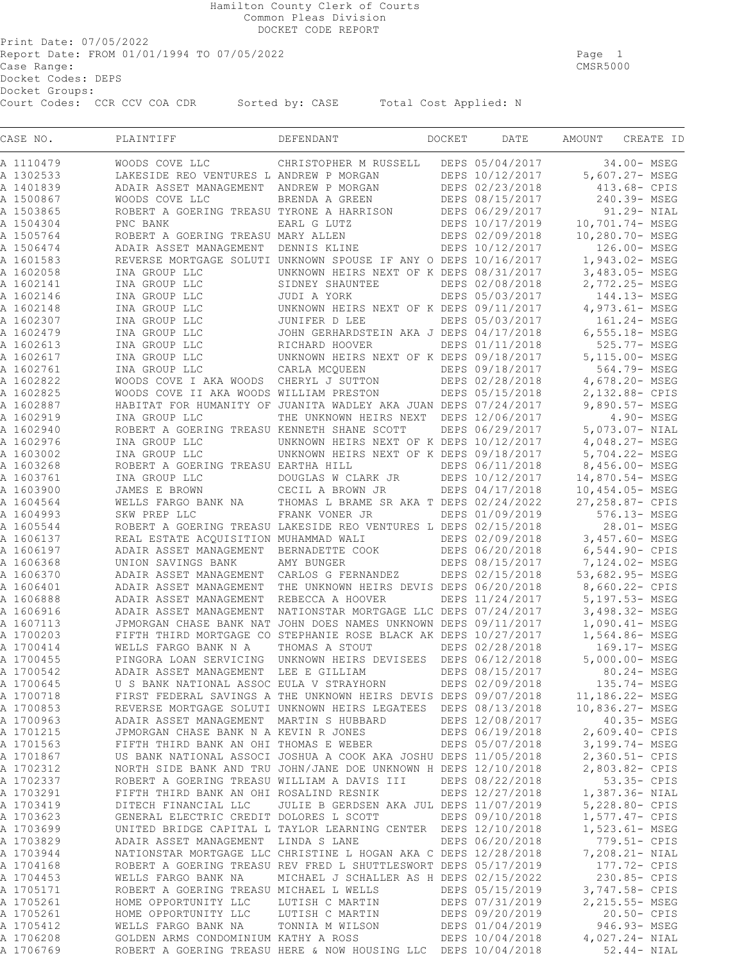Print Date: 07/05/2022 Report Date: FROM 01/01/1994 TO 07/05/2022 Page 1 .<br>Case Range: Docket Codes: DEPS Docket Groups: Court Codes: CCR CCV COA CDR Sorted by: CASE Total Cost Applied: N

| CASE NO.               | PLAINTIFF                                                                                                | DEFENDANT                                | DOCKET | DATE                               | CREATE ID<br>AMOUNT              |
|------------------------|----------------------------------------------------------------------------------------------------------|------------------------------------------|--------|------------------------------------|----------------------------------|
| A 1110479              | WOODS COVE LLC                                                                                           | CHRISTOPHER M RUSSELL                    |        | DEPS 05/04/2017                    | 34.00- MSEG                      |
| A 1302533              | LAKESIDE REO VENTURES L ANDREW P MORGAN                                                                  |                                          |        | DEPS 10/12/2017                    | 5,607.27- MSEG                   |
| A 1401839              | ADAIR ASSET MANAGEMENT ANDREW P MORGAN                                                                   |                                          |        | DEPS 02/23/2018                    | 413.68- CPIS                     |
| A 1500867              | WOODS COVE LLC                                                                                           | BRENDA A GREEN                           |        | DEPS 08/15/2017                    | 240.39- MSEG                     |
| A 1503865              | ROBERT A GOERING TREASU TYRONE A HARRISON                                                                |                                          |        | DEPS 06/29/2017                    | 91.29- NIAL                      |
| A 1504304              | PNC BANK                                                                                                 | EARL G LUTZ                              |        | DEPS 10/17/2019                    | 10,701.74- MSEG                  |
| A 1505764<br>A 1506474 | ROBERT A GOERING TREASU MARY ALLEN<br>ADAIR ASSET MANAGEMENT DENNIS KLINE                                |                                          |        | DEPS 02/09/2018<br>DEPS 10/12/2017 | 10,280.70- MSEG<br>126.00- MSEG  |
| A 1601583              | REVERSE MORTGAGE SOLUTI UNKNOWN SPOUSE IF ANY O DEPS 10/16/2017                                          |                                          |        |                                    | 1,943.02- MSEG                   |
| A 1602058              | INA GROUP LLC                                                                                            | UNKNOWN HEIRS NEXT OF K DEPS 08/31/2017  |        |                                    | 3,483.05- MSEG                   |
| A 1602141              | INA GROUP LLC                                                                                            | SIDNEY SHAUNTEE                          |        | DEPS 02/08/2018                    | 2,772.25- MSEG                   |
| A 1602146              | INA GROUP LLC                                                                                            | JUDI A YORK                              |        | DEPS 05/03/2017                    | 144.13- MSEG                     |
| A 1602148              | INA GROUP LLC                                                                                            | UNKNOWN HEIRS NEXT OF K DEPS 09/11/2017  |        |                                    | 4,973.61- MSEG                   |
| A 1602307              | INA GROUP LLC                                                                                            | JUNIFER D LEE                            |        | DEPS 05/03/2017                    | 161.24- MSEG                     |
| A 1602479              | INA GROUP LLC                                                                                            | JOHN GERHARDSTEIN AKA J DEPS 04/17/2018  |        |                                    | 6,555.18- MSEG                   |
| A 1602613              | INA GROUP LLC                                                                                            | RICHARD HOOVER                           |        | DEPS 01/11/2018                    | 525.77- MSEG                     |
| A 1602617              | INA GROUP LLC                                                                                            | UNKNOWN HEIRS NEXT OF K DEPS 09/18/2017  |        |                                    | 5,115.00- MSEG                   |
| A 1602761<br>A 1602822 | INA GROUP LLC<br>WOODS COVE I AKA WOODS CHERYL J SUTTON                                                  | CARLA MCOUEEN                            |        | DEPS 09/18/2017<br>DEPS 02/28/2018 | 564.79- MSEG<br>4,678.20- MSEG   |
| A 1602825              | WOODS COVE II AKA WOODS WILLIAM PRESTON                                                                  |                                          |        | DEPS 05/15/2018                    | 2,132.88- CPIS                   |
| A 1602887              | HABITAT FOR HUMANITY OF JUANITA WADLEY AKA JUAN DEPS 07/24/2017                                          |                                          |        |                                    | 9,890.57- MSEG                   |
| A 1602919              | INA GROUP LLC                                                                                            | THE UNKNOWN HEIRS NEXT                   |        | DEPS 12/06/2017                    | 4.90- MSEG                       |
| A 1602940              | ROBERT A GOERING TREASU KENNETH SHANE SCOTT                                                              |                                          |        | DEPS 06/29/2017                    | 5,073.07- NIAL                   |
| A 1602976              | INA GROUP LLC                                                                                            | UNKNOWN HEIRS NEXT OF K DEPS 10/12/2017  |        |                                    | 4,048.27- MSEG                   |
| A 1603002              | INA GROUP LLC                                                                                            | UNKNOWN HEIRS NEXT OF K DEPS 09/18/2017  |        |                                    | 5,704.22- MSEG                   |
| A 1603268              | ROBERT A GOERING TREASU EARTHA HILL                                                                      |                                          |        | DEPS 06/11/2018                    | 8,456.00- MSEG                   |
| A 1603761              | INA GROUP LLC                                                                                            | DOUGLAS W CLARK JR                       |        | DEPS 10/12/2017                    | 14,870.54- MSEG                  |
| A 1603900              | JAMES E BROWN                                                                                            | CECIL A BROWN JR                         |        | DEPS 04/17/2018                    | 10,454.05- MSEG                  |
| A 1604564              | WELLS FARGO BANK NA                                                                                      | THOMAS L BRAME SR AKA T DEPS 02/24/2022  |        |                                    | 27, 258.87- CPIS                 |
| A 1604993              | SKW PREP LLC                                                                                             | FRANK VONER JR                           |        | DEPS 01/09/2019                    | 576.13- MSEG                     |
| A 1605544<br>A 1606137 | ROBERT A GOERING TREASU LAKESIDE REO VENTURES L DEPS 02/15/2018<br>REAL ESTATE ACQUISITION MUHAMMAD WALI |                                          |        | DEPS 02/09/2018                    | 28.01- MSEG<br>3,457.60- MSEG    |
| A 1606197              | ADAIR ASSET MANAGEMENT                                                                                   | BERNADETTE COOK                          |        | DEPS 06/20/2018                    | 6,544.90- CPIS                   |
| A 1606368              | UNION SAVINGS BANK                                                                                       | AMY BUNGER                               |        | DEPS 08/15/2017                    | 7,124.02- MSEG                   |
| A 1606370              | ADAIR ASSET MANAGEMENT                                                                                   | CARLOS G FERNANDEZ                       |        | DEPS 02/15/2018                    | 53,682.95- MSEG                  |
| A 1606401              | ADAIR ASSET MANAGEMENT                                                                                   | THE UNKNOWN HEIRS DEVIS DEPS 06/20/2018  |        |                                    | 8,660.22- CPIS                   |
| A 1606888              | ADAIR ASSET MANAGEMENT                                                                                   | REBECCA A HOOVER                         |        | DEPS 11/24/2017                    | 5,197.53- MSEG                   |
| A 1606916              | ADAIR ASSET MANAGEMENT                                                                                   | NATIONSTAR MORTGAGE LLC DEPS 07/24/2017  |        |                                    | 3,498.32- MSEG                   |
| A 1607113              | JPMORGAN CHASE BANK NAT JOHN DOES NAMES UNKNOWN DEPS 09/11/2017                                          |                                          |        |                                    | 1,090.41- MSEG                   |
| A 1700203              | FIFTH THIRD MORTGAGE CO STEPHANIE ROSE BLACK AK DEPS 10/27/2017                                          |                                          |        |                                    | 1,564.86- MSEG                   |
| A 1700414<br>A 1700455 | WELLS FARGO BANK N A                                                                                     | THOMAS A STOUT<br>UNKNOWN HEIRS DEVISEES |        | DEPS 02/28/2018                    | 169.17- MSEG                     |
| A 1700542              | PINGORA LOAN SERVICING<br>ADAIR ASSET MANAGEMENT                                                         | LEE E GILLIAM                            |        | DEPS 06/12/2018<br>DEPS 08/15/2017 | 5,000.00- MSEG<br>80.24- MSEG    |
| A 1700645              | U S BANK NATIONAL ASSOC EULA V STRAYHORN                                                                 |                                          |        | DEPS 02/09/2018                    | 135.74- MSEG                     |
| A 1700718              | FIRST FEDERAL SAVINGS A THE UNKNOWN HEIRS DEVIS DEPS 09/07/2018                                          |                                          |        |                                    | 11,186.22- MSEG                  |
| A 1700853              | REVERSE MORTGAGE SOLUTI UNKNOWN HEIRS LEGATEES DEPS 08/13/2018                                           |                                          |        |                                    | 10,836.27- MSEG                  |
| A 1700963              | ADAIR ASSET MANAGEMENT MARTIN S HUBBARD                                                                  |                                          |        | DEPS 12/08/2017                    | 40.35- MSEG                      |
| A 1701215              | JPMORGAN CHASE BANK N A KEVIN R JONES                                                                    |                                          |        | DEPS 06/19/2018                    | 2,609.40- CPIS                   |
| A 1701563              | FIFTH THIRD BANK AN OHI THOMAS E WEBER                                                                   |                                          |        | DEPS 05/07/2018                    | 3,199.74- MSEG                   |
| A 1701867              | US BANK NATIONAL ASSOCI JOSHUA A COOK AKA JOSHU DEPS 11/05/2018                                          |                                          |        |                                    | 2,360.51- CPIS                   |
| A 1702312              | NORTH SIDE BANK AND TRU JOHN/JANE DOE UNKNOWN H DEPS 12/10/2018                                          |                                          |        |                                    | 2,803.82- CPIS                   |
| A 1702337              | ROBERT A GOERING TREASU WILLIAM A DAVIS III                                                              |                                          |        | DEPS 08/22/2018                    | 53.35- CPIS                      |
| A 1703291<br>A 1703419 | FIFTH THIRD BANK AN OHI ROSALIND RESNIK                                                                  | JULIE B GERDSEN AKA JUL DEPS 11/07/2019  |        | DEPS 12/27/2018                    | 1,387.36- NIAL                   |
| A 1703623              | DITECH FINANCIAL LLC<br>GENERAL ELECTRIC CREDIT DOLORES L SCOTT                                          |                                          |        | DEPS 09/10/2018                    | 5,228.80- CPIS<br>1,577.47- CPIS |
| A 1703699              | UNITED BRIDGE CAPITAL L TAYLOR LEARNING CENTER DEPS 12/10/2018                                           |                                          |        |                                    | 1,523.61- MSEG                   |
| A 1703829              | ADAIR ASSET MANAGEMENT LINDA S LANE                                                                      |                                          |        | DEPS 06/20/2018                    | 779.51- CPIS                     |
| A 1703944              | NATIONSTAR MORTGAGE LLC CHRISTINE L HOGAN AKA C DEPS 12/28/2018                                          |                                          |        |                                    | 7,208.21- NIAL                   |
| A 1704168              | ROBERT A GOERING TREASU REV FRED L SHUTTLESWORT DEPS 05/17/2019                                          |                                          |        |                                    | 177.72- CPIS                     |
| A 1704453              | WELLS FARGO BANK NA                                                                                      | MICHAEL J SCHALLER AS H DEPS 02/15/2022  |        |                                    | 230.85- CPIS                     |
| A 1705171              | ROBERT A GOERING TREASU MICHAEL L WELLS                                                                  |                                          |        | DEPS 05/15/2019                    | 3,747.58- CPIS                   |
| A 1705261              | HOME OPPORTUNITY LLC                                                                                     | LUTISH C MARTIN                          |        | DEPS 07/31/2019                    | 2,215.55- MSEG                   |
| A 1705261              | HOME OPPORTUNITY LLC                                                                                     | LUTISH C MARTIN                          |        | DEPS 09/20/2019                    | 20.50- CPIS                      |
| A 1705412              | WELLS FARGO BANK NA                                                                                      | TONNIA M WILSON                          |        | DEPS 01/04/2019                    | 946.93- MSEG                     |
| A 1706208              | GOLDEN ARMS CONDOMINIUM KATHY A ROSS                                                                     |                                          |        | DEPS 10/04/2018                    | $4,027.24 - NIAL$                |
| A 1706769              | ROBERT A GOERING TREASU HERE & NOW HOUSING LLC DEPS 10/04/2018                                           |                                          |        |                                    | $52.44-$ NIAL                    |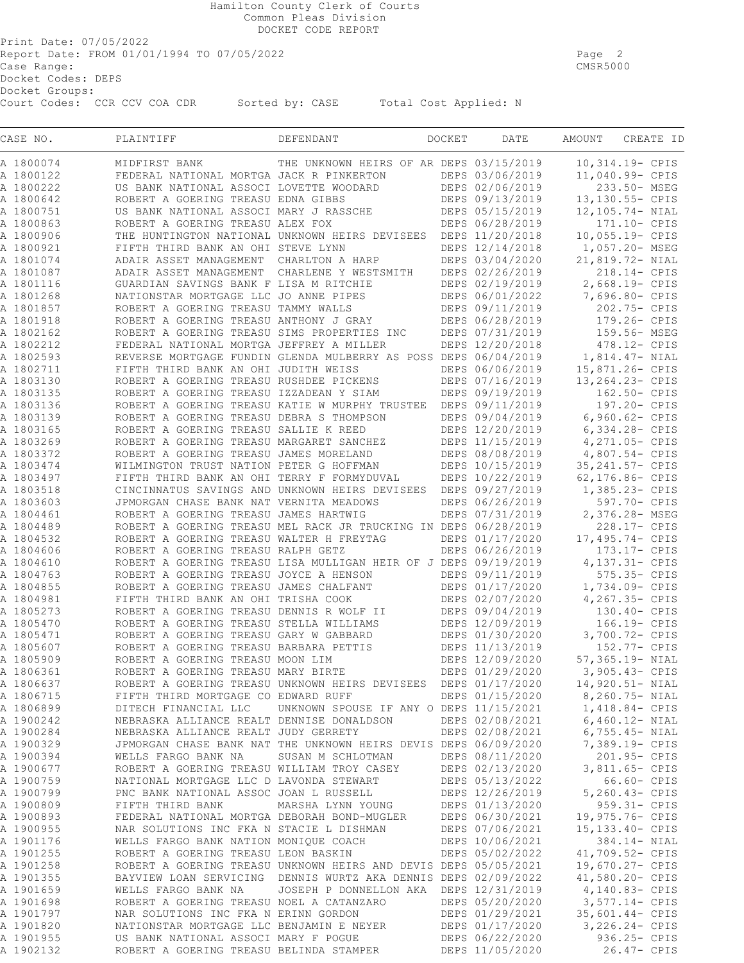Print Date: 07/05/2022 Report Date: FROM 01/01/1994 TO 07/05/2022 Page 2 .<br>Case Range: Docket Codes: DEPS Docket Groups: Court Codes: CCR CCV COA CDR Sorted by: CASE Total Cost Applied: N

| CASE NO.               | PLAINTIFF                                                                               | DEFENDANT                                                       | DOCKET | DATE                               | AMOUNT | CREATE ID                          |
|------------------------|-----------------------------------------------------------------------------------------|-----------------------------------------------------------------|--------|------------------------------------|--------|------------------------------------|
| A 1800074              | MIDFIRST BANK                                                                           | THE UNKNOWN HEIRS OF AR DEPS 03/15/2019                         |        |                                    |        | 10,314.19- CPIS                    |
| A 1800122              | FEDERAL NATIONAL MORTGA JACK R PINKERTON                                                |                                                                 |        | DEPS 03/06/2019                    |        | 11,040.99- CPIS                    |
| A 1800222              | US BANK NATIONAL ASSOCI LOVETTE WOODARD                                                 |                                                                 |        | DEPS 02/06/2019                    |        | 233.50- MSEG                       |
| A 1800642              | ROBERT A GOERING TREASU EDNA GIBBS                                                      |                                                                 |        | DEPS 09/13/2019                    |        | 13,130.55- CPIS                    |
| A 1800751              | US BANK NATIONAL ASSOCI MARY J RASSCHE                                                  |                                                                 |        | DEPS 05/15/2019                    |        | 12,105.74- NIAL                    |
| A 1800863              | ROBERT A GOERING TREASU ALEX FOX                                                        |                                                                 |        | DEPS 06/28/2019                    |        | 171.10- CPIS                       |
| A 1800906              | THE HUNTINGTON NATIONAL UNKNOWN HEIRS DEVISEES                                          |                                                                 |        | DEPS 11/20/2018                    |        | 10,055.19- CPIS                    |
| A 1800921              | FIFTH THIRD BANK AN OHI STEVE LYNN                                                      |                                                                 |        | DEPS 12/14/2018                    |        | 1,057.20- MSEG                     |
| A 1801074              | ADAIR ASSET MANAGEMENT                                                                  | CHARLTON A HARP                                                 |        | DEPS 03/04/2020                    |        | 21,819.72- NIAL                    |
| A 1801087              | ADAIR ASSET MANAGEMENT                                                                  | CHARLENE Y WESTSMITH                                            |        | DEPS 02/26/2019                    |        | 218.14- CPIS                       |
| A 1801116              | GUARDIAN SAVINGS BANK F LISA M RITCHIE                                                  |                                                                 |        | DEPS 02/19/2019                    |        | 2,668.19- CPIS                     |
| A 1801268              | NATIONSTAR MORTGAGE LLC JO ANNE PIPES                                                   |                                                                 |        | DEPS 06/01/2022                    |        | 7,696.80- CPIS                     |
| A 1801857<br>A 1801918 | ROBERT A GOERING TREASU TAMMY WALLS<br>ROBERT A GOERING TREASU ANTHONY J GRAY           |                                                                 |        | DEPS 09/11/2019<br>DEPS 06/28/2019 |        | 202.75- CPIS<br>179.26- CPIS       |
| A 1802162              | ROBERT A GOERING TREASU SIMS PROPERTIES INC                                             |                                                                 |        | DEPS 07/31/2019                    |        | 159.56- MSEG                       |
| A 1802212              | FEDERAL NATIONAL MORTGA JEFFREY A MILLER                                                |                                                                 |        | DEPS 12/20/2018                    |        | 478.12- CPIS                       |
| A 1802593              |                                                                                         | REVERSE MORTGAGE FUNDIN GLENDA MULBERRY AS POSS DEPS 06/04/2019 |        |                                    |        | 1,814.47- NIAL                     |
| A 1802711              | FIFTH THIRD BANK AN OHI JUDITH WEISS                                                    |                                                                 |        | DEPS 06/06/2019                    |        | 15,871.26- CPIS                    |
| A 1803130              | ROBERT A GOERING TREASU RUSHDEE PICKENS                                                 |                                                                 |        | DEPS 07/16/2019                    |        | 13,264.23- CPIS                    |
| A 1803135              | ROBERT A GOERING TREASU IZZADEAN Y SIAM                                                 |                                                                 |        | DEPS 09/19/2019                    |        | 162.50- CPIS                       |
| A 1803136              | ROBERT A GOERING TREASU KATIE W MURPHY TRUSTEE                                          |                                                                 |        | DEPS 09/11/2019                    |        | 197.20- CPIS                       |
| A 1803139              | ROBERT A GOERING TREASU DEBRA S THOMPSON                                                |                                                                 |        | DEPS 09/04/2019                    |        | 6,960.62- CPIS                     |
| A 1803165              | ROBERT A GOERING TREASU SALLIE K REED                                                   |                                                                 |        | DEPS 12/20/2019                    |        | 6,334.28- CPIS                     |
| A 1803269              | ROBERT A GOERING TREASU MARGARET SANCHEZ                                                |                                                                 |        | DEPS 11/15/2019                    |        | 4,271.05- CPIS                     |
| A 1803372              | ROBERT A GOERING TREASU JAMES MORELAND                                                  |                                                                 |        | DEPS 08/08/2019                    |        | 4,807.54- CPIS                     |
| A 1803474              | WILMINGTON TRUST NATION PETER G HOFFMAN                                                 |                                                                 |        | DEPS 10/15/2019                    |        | 35, 241.57- CPIS                   |
| A 1803497              | FIFTH THIRD BANK AN OHI TERRY F FORMYDUVAL                                              |                                                                 |        | DEPS 10/22/2019                    |        | 62,176.86- CPIS                    |
| A 1803518              | CINCINNATUS SAVINGS AND UNKNOWN HEIRS DEVISEES                                          |                                                                 |        | DEPS 09/27/2019                    |        | $1,385.23 - CPIS$                  |
| A 1803603              | JPMORGAN CHASE BANK NAT VERNITA MEADOWS                                                 |                                                                 |        | DEPS 06/26/2019                    |        | 597.70- CPIS                       |
| A 1804461              | ROBERT A GOERING TREASU JAMES HARTWIG                                                   |                                                                 |        | DEPS 07/31/2019                    |        | 2,376.28- MSEG                     |
| A 1804489              |                                                                                         | ROBERT A GOERING TREASU MEL RACK JR TRUCKING IN DEPS 06/28/2019 |        |                                    |        | 228.17- CPIS                       |
| A 1804532              | ROBERT A GOERING TREASU WALTER H FREYTAG                                                |                                                                 |        | DEPS 01/17/2020                    |        | 17,495.74- CPIS                    |
| A 1804606              | ROBERT A GOERING TREASU RALPH GETZ                                                      |                                                                 |        | DEPS 06/26/2019                    |        | 173.17- CPIS                       |
| A 1804610              |                                                                                         | ROBERT A GOERING TREASU LISA MULLIGAN HEIR OF J DEPS 09/19/2019 |        |                                    |        | 4,137.31- CPIS                     |
| A 1804763              | ROBERT A GOERING TREASU JOYCE A HENSON                                                  |                                                                 |        | DEPS 09/11/2019                    |        | 575.35- CPIS                       |
| A 1804855<br>A 1804981 | ROBERT A GOERING TREASU JAMES CHALFANT<br>FIFTH THIRD BANK AN OHI TRISHA COOK           |                                                                 |        | DEPS 01/17/2020<br>DEPS 02/07/2020 |        | 1,734.09- CPIS<br>4,267.35- CPIS   |
| A 1805273              | ROBERT A GOERING TREASU DENNIS R WOLF II                                                |                                                                 |        | DEPS 09/04/2019                    |        | 130.40- CPIS                       |
| A 1805470              | ROBERT A GOERING TREASU STELLA WILLIAMS                                                 |                                                                 |        | DEPS 12/09/2019                    |        | 166.19- CPIS                       |
| A 1805471              | ROBERT A GOERING TREASU GARY W GABBARD                                                  |                                                                 |        | DEPS 01/30/2020                    |        | 3,700.72- CPIS                     |
| A 1805607              | ROBERT A GOERING TREASU BARBARA PETTIS                                                  |                                                                 |        | DEPS 11/13/2019                    |        | 152.77- CPIS                       |
| A 1805909              | ROBERT A GOERING TREASU MOON LIM                                                        |                                                                 |        | DEPS 12/09/2020                    |        | 57,365.19- NIAL                    |
| A 1806361              | ROBERT A GOERING TREASU MARY BIRTE                                                      |                                                                 |        | DEPS 01/29/2020                    |        | 3,905.43- CPIS                     |
| A 1806637              | ROBERT A GOERING TREASU UNKNOWN HEIRS DEVISEES                                          |                                                                 |        | DEPS 01/17/2020                    |        | 14,920.51- NIAL                    |
| A 1806715              | FIFTH THIRD MORTGAGE CO EDWARD RUFF                                                     |                                                                 |        | DEPS 01/15/2020                    |        | 8,260.75- NIAL                     |
| A 1806899              | DITECH FINANCIAL LLC                                                                    | UNKNOWN SPOUSE IF ANY O DEPS 11/15/2021                         |        |                                    |        | 1,418.84- CPIS                     |
| A 1900242              | NEBRASKA ALLIANCE REALT DENNISE DONALDSON                                               |                                                                 |        | DEPS 02/08/2021                    |        | $6,460.12-$ NIAL                   |
| A 1900284              | NEBRASKA ALLIANCE REALT JUDY GERRETY                                                    |                                                                 |        | DEPS 02/08/2021                    |        | 6,755.45- NIAL                     |
| A 1900329              |                                                                                         | JPMORGAN CHASE BANK NAT THE UNKNOWN HEIRS DEVIS DEPS 06/09/2020 |        |                                    |        | 7,389.19- CPIS                     |
| A 1900394              | WELLS FARGO BANK NA                                                                     | SUSAN M SCHLOTMAN                                               |        | DEPS 08/11/2020                    |        | 201.95- CPIS                       |
| A 1900677              | ROBERT A GOERING TREASU WILLIAM TROY CASEY                                              |                                                                 |        | DEPS 02/13/2020                    |        | 3,811.65- CPIS                     |
| A 1900759              | NATIONAL MORTGAGE LLC D LAVONDA STEWART                                                 |                                                                 |        | DEPS 05/13/2022                    |        | 66.60- CPIS                        |
| A 1900799              | PNC BANK NATIONAL ASSOC JOAN L RUSSELL                                                  |                                                                 |        | DEPS 12/26/2019                    |        | 5,260.43- CPIS                     |
| A 1900809              | FIFTH THIRD BANK                                                                        | MARSHA LYNN YOUNG                                               |        | DEPS 01/13/2020                    |        | $959.31 - CPIS$                    |
| A 1900893<br>A 1900955 | FEDERAL NATIONAL MORTGA DEBORAH BOND-MUGLER<br>NAR SOLUTIONS INC FKA N STACIE L DISHMAN |                                                                 |        | DEPS 06/30/2021<br>DEPS 07/06/2021 |        | 19,975.76- CPIS<br>15,133.40- CPIS |
| A 1901176              | WELLS FARGO BANK NATION MONIQUE COACH                                                   |                                                                 |        | DEPS 10/06/2021                    |        | 384.14- NIAL                       |
| A 1901255              | ROBERT A GOERING TREASU LEON BASKIN                                                     |                                                                 |        | DEPS 05/02/2022                    |        | 41,709.52- CPIS                    |
| A 1901258              |                                                                                         | ROBERT A GOERING TREASU UNKNOWN HEIRS AND DEVIS DEPS 05/05/2021 |        |                                    |        | 19,670.27- CPIS                    |
| A 1901355              |                                                                                         | BAYVIEW LOAN SERVICING DENNIS WURTZ AKA DENNIS DEPS 02/09/2022  |        |                                    |        | 41,580.20- CPIS                    |
| A 1901659              | WELLS FARGO BANK NA                                                                     | JOSEPH P DONNELLON AKA                                          |        | DEPS 12/31/2019                    |        | 4,140.83- CPIS                     |
| A 1901698              | ROBERT A GOERING TREASU NOEL A CATANZARO                                                |                                                                 |        | DEPS 05/20/2020                    |        | 3,577.14- CPIS                     |
| A 1901797              | NAR SOLUTIONS INC FKA N ERINN GORDON                                                    |                                                                 |        | DEPS 01/29/2021                    |        | 35,601.44- CPIS                    |
| A 1901820              | NATIONSTAR MORTGAGE LLC BENJAMIN E NEYER                                                |                                                                 |        | DEPS 01/17/2020                    |        | 3,226.24- CPIS                     |
| A 1901955              | US BANK NATIONAL ASSOCI MARY F POGUE                                                    |                                                                 |        | DEPS 06/22/2020                    |        | 936.25- CPIS                       |
| A 1902132              | ROBERT A GOERING TREASU BELINDA STAMPER                                                 |                                                                 |        | DEPS 11/05/2020                    |        | 26.47- CPIS                        |
|                        |                                                                                         |                                                                 |        |                                    |        |                                    |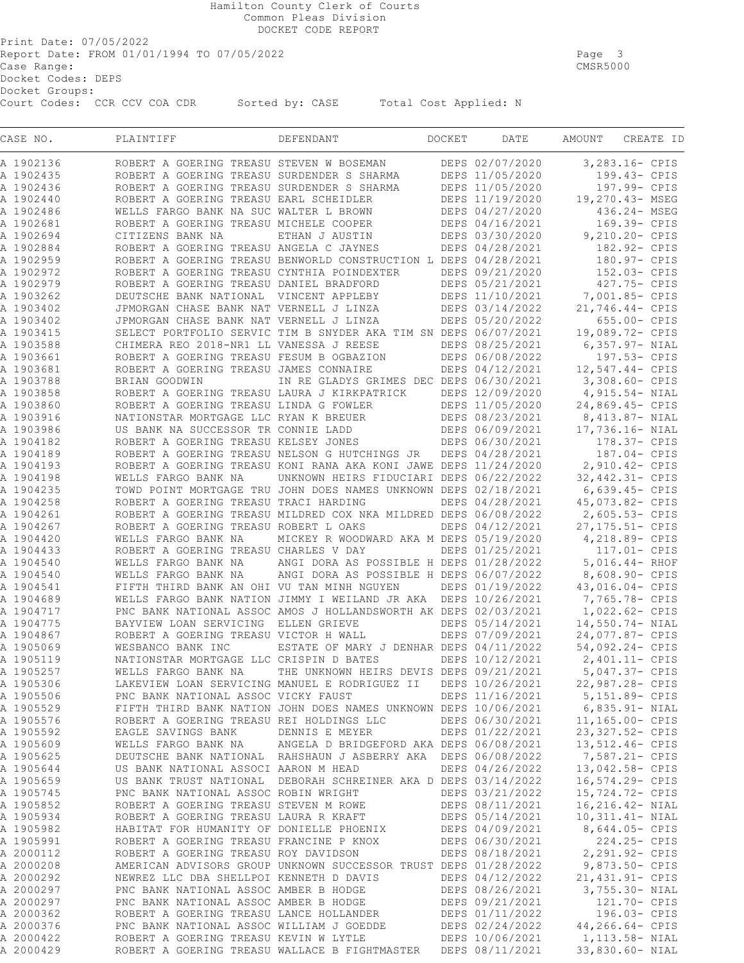Print Date: 07/05/2022 Report Date: FROM 01/01/1994 TO 07/05/2022 Page 3 .<br>Case Range: Docket Codes: DEPS Docket Groups: Court Codes: CCR CCV COA CDR Sorted by: CASE Total Cost Applied: N

| CASE NO.               | PLAINTIFF                                                    | DEFENDANT                                                       | <b>DOCKET</b> | DATE            | AMOUNT | CREATE ID                          |
|------------------------|--------------------------------------------------------------|-----------------------------------------------------------------|---------------|-----------------|--------|------------------------------------|
| A 1902136              | ROBERT A GOERING TREASU STEVEN W BOSEMAN                     |                                                                 |               | DEPS 02/07/2020 |        | 3,283.16- CPIS                     |
| A 1902435              | ROBERT A GOERING TREASU SURDENDER S SHARMA                   |                                                                 |               | DEPS 11/05/2020 |        | 199.43- CPIS                       |
| A 1902436              | ROBERT A GOERING TREASU SURDENDER S SHARMA                   |                                                                 |               | DEPS 11/05/2020 |        | 197.99- CPIS                       |
| A 1902440              | ROBERT A GOERING TREASU EARL SCHEIDLER                       |                                                                 |               | DEPS 11/19/2020 |        | 19,270.43- MSEG                    |
| A 1902486              | WELLS FARGO BANK NA SUC WALTER L BROWN                       |                                                                 |               | DEPS 04/27/2020 |        | 436.24- MSEG                       |
| A 1902681              | ROBERT A GOERING TREASU MICHELE COOPER                       |                                                                 |               | DEPS 04/16/2021 |        | 169.39- CPIS                       |
| A 1902694              | CITIZENS BANK NA                                             | ETHAN J AUSTIN                                                  |               | DEPS 03/30/2020 |        | 9,210.20- CPIS                     |
| A 1902884              | ROBERT A GOERING TREASU ANGELA C JAYNES                      |                                                                 |               | DEPS 04/28/2021 |        | 182.92- CPIS                       |
| A 1902959              |                                                              | ROBERT A GOERING TREASU BENWORLD CONSTRUCTION L DEPS 04/28/2021 |               |                 |        | 180.97- CPIS                       |
| A 1902972              | ROBERT A GOERING TREASU CYNTHIA POINDEXTER                   |                                                                 |               | DEPS 09/21/2020 |        | 152.03- CPIS                       |
| A 1902979              | ROBERT A GOERING TREASU DANIEL BRADFORD                      |                                                                 |               | DEPS 05/21/2021 |        | 427.75- CPIS                       |
| A 1903262              | DEUTSCHE BANK NATIONAL VINCENT APPLEBY                       |                                                                 |               | DEPS 11/10/2021 |        | 7,001.85- CPIS                     |
| A 1903402              | JPMORGAN CHASE BANK NAT VERNELL J LINZA                      |                                                                 |               | DEPS 03/14/2022 |        | 21,746.44- CPIS                    |
| A 1903402              | JPMORGAN CHASE BANK NAT VERNELL J LINZA                      |                                                                 |               | DEPS 05/20/2022 |        | 655.00- CPIS                       |
| A 1903415              |                                                              | SELECT PORTFOLIO SERVIC TIM B SNYDER AKA TIM SN DEPS 06/07/2021 |               |                 |        | 19,089.72- CPIS                    |
| A 1903588              | CHIMERA REO 2018-NR1 LL VANESSA J REESE                      |                                                                 |               | DEPS 08/25/2021 |        | 6,357.97- NIAL                     |
| A 1903661              | ROBERT A GOERING TREASU FESUM B OGBAZION                     |                                                                 |               | DEPS 06/08/2022 |        | 197.53- CPIS                       |
| A 1903681              | ROBERT A GOERING TREASU JAMES CONNAIRE                       | IN RE GLADYS GRIMES DEC DEPS 06/30/2021                         |               | DEPS 04/12/2021 |        | 12,547.44- CPIS                    |
| A 1903788              | BRIAN GOODWIN                                                |                                                                 |               |                 |        | 3,308.60- CPIS                     |
| A 1903858              | ROBERT A GOERING TREASU LAURA J KIRKPATRICK                  |                                                                 |               | DEPS 12/09/2020 |        | 4,915.54- NIAL                     |
| A 1903860              | ROBERT A GOERING TREASU LINDA G FOWLER                       |                                                                 |               | DEPS 11/05/2020 |        | 24,869.45- CPIS                    |
| A 1903916              | NATIONSTAR MORTGAGE LLC RYAN K BREUER                        |                                                                 |               | DEPS 08/23/2021 |        | 8,413.87- NIAL                     |
| A 1903986              | US BANK NA SUCCESSOR TR CONNIE LADD                          |                                                                 |               | DEPS 06/09/2021 |        | 17,736.16- NIAL                    |
| A 1904182              | ROBERT A GOERING TREASU KELSEY JONES                         |                                                                 |               | DEPS 06/30/2021 |        | 178.37- CPIS                       |
| A 1904189              | ROBERT A GOERING TREASU NELSON G HUTCHINGS JR                |                                                                 |               | DEPS 04/28/2021 |        | 187.04- CPIS                       |
| A 1904193              |                                                              | ROBERT A GOERING TREASU KONI RANA AKA KONI JAWE DEPS 11/24/2020 |               |                 |        | 2,910.42- CPIS                     |
| A 1904198              | WELLS FARGO BANK NA                                          | UNKNOWN HEIRS FIDUCIARI DEPS 06/22/2022                         |               |                 |        | 32,442.31- CPIS                    |
| A 1904235              |                                                              | TOWD POINT MORTGAGE TRU JOHN DOES NAMES UNKNOWN DEPS 02/18/2021 |               |                 |        | $6,639.45 - CPIS$                  |
| A 1904258              | ROBERT A GOERING TREASU TRACI HARDING                        |                                                                 |               | DEPS 04/28/2021 |        | 45,073.82- CPIS                    |
| A 1904261              |                                                              | ROBERT A GOERING TREASU MILDRED COX NKA MILDRED DEPS 06/08/2022 |               |                 |        | 2,605.53- CPIS                     |
| A 1904267<br>A 1904420 | ROBERT A GOERING TREASU ROBERT L OAKS<br>WELLS FARGO BANK NA | MICKEY R WOODWARD AKA M DEPS 05/19/2020                         |               | DEPS 04/12/2021 |        | 27, 175.51- CPIS<br>4,218.89- CPIS |
| A 1904433              | ROBERT A GOERING TREASU CHARLES V DAY                        |                                                                 |               | DEPS 01/25/2021 |        | 117.01- CPIS                       |
| A 1904540              | WELLS FARGO BANK NA                                          | ANGI DORA AS POSSIBLE H DEPS 01/28/2022                         |               |                 |        | 5,016.44- RHOF                     |
| A 1904540              | WELLS FARGO BANK NA                                          | ANGI DORA AS POSSIBLE H DEPS 06/07/2022                         |               |                 |        | 8,608.90- CPIS                     |
| A 1904541              | FIFTH THIRD BANK AN OHI VU TAN MINH NGUYEN                   |                                                                 |               | DEPS 01/19/2022 |        | 43,016.04- CPIS                    |
| A 1904689              |                                                              | WELLS FARGO BANK NATION JIMMY I WEILAND JR AKA DEPS 10/26/2021  |               |                 |        | 7,765.78- CPIS                     |
| A 1904717              |                                                              | PNC BANK NATIONAL ASSOC AMOS J HOLLANDSWORTH AK DEPS 02/03/2021 |               |                 |        | 1,022.62- CPIS                     |
| A 1904775              | BAYVIEW LOAN SERVICING                                       | ELLEN GRIEVE                                                    |               | DEPS 05/14/2021 |        | 14,550.74- NIAL                    |
| A 1904867              | ROBERT A GOERING TREASU VICTOR H WALL                        |                                                                 |               | DEPS 07/09/2021 |        | 24,077.87- CPIS                    |
| A 1905069              | WESBANCO BANK INC                                            | ESTATE OF MARY J DENHAR DEPS 04/11/2022                         |               |                 |        | 54,092.24- CPIS                    |
| A 1905119              | NATIONSTAR MORTGAGE LLC CRISPIN D BATES                      |                                                                 |               | DEPS 10/12/2021 |        | 2,401.11- CPIS                     |
| A 1905257              | WELLS FARGO BANK NA                                          | THE UNKNOWN HEIRS DEVIS DEPS 09/21/2021                         |               |                 |        | 5,047.37- CPIS                     |
| A 1905306              | LAKEVIEW LOAN SERVICING MANUEL E RODRIGUEZ II                |                                                                 |               | DEPS 10/26/2021 |        | 22,987.28- CPIS                    |
| A 1905506              | PNC BANK NATIONAL ASSOC VICKY FAUST                          |                                                                 |               | DEPS 11/16/2021 |        | 5,151.89- CPIS                     |
| A 1905529              |                                                              | FIFTH THIRD BANK NATION JOHN DOES NAMES UNKNOWN DEPS 10/06/2021 |               |                 |        | $6,835.91 - NIAL$                  |
| A 1905576              | ROBERT A GOERING TREASU REI HOLDINGS LLC                     |                                                                 |               | DEPS 06/30/2021 |        | 11,165.00- CPIS                    |
| A 1905592              | EAGLE SAVINGS BANK                                           | DENNIS E MEYER                                                  |               | DEPS 01/22/2021 |        | 23,327.52- CPIS                    |
| A 1905609              | WELLS FARGO BANK NA                                          | ANGELA D BRIDGEFORD AKA DEPS 06/08/2021                         |               |                 |        | 13,512.46- CPIS                    |
| A 1905625              |                                                              | DEUTSCHE BANK NATIONAL RAHSHAUN J ASBERRY AKA DEPS 06/08/2022   |               |                 |        | 7,587.21- CPIS                     |
| A 1905644              | US BANK NATIONAL ASSOCI AARON M HEAD                         |                                                                 |               | DEPS 04/26/2022 |        | 13,042.58- CPIS                    |
| A 1905659              |                                                              | US BANK TRUST NATIONAL DEBORAH SCHREINER AKA D DEPS 03/14/2022  |               |                 |        | 16,574.29- CPIS                    |
| A 1905745              | PNC BANK NATIONAL ASSOC ROBIN WRIGHT                         |                                                                 |               | DEPS 03/21/2022 |        | 15,724.72- CPIS                    |
| A 1905852              | ROBERT A GOERING TREASU STEVEN M ROWE                        |                                                                 |               | DEPS 08/11/2021 |        | 16,216.42- NIAL                    |
| A 1905934              | ROBERT A GOERING TREASU LAURA R KRAFT                        |                                                                 |               | DEPS 05/14/2021 |        | 10,311.41- NIAL                    |
| A 1905982              | HABITAT FOR HUMANITY OF DONIELLE PHOENIX                     |                                                                 |               | DEPS 04/09/2021 |        | 8,644.05- CPIS                     |
| A 1905991              | ROBERT A GOERING TREASU FRANCINE P KNOX                      |                                                                 |               | DEPS 06/30/2021 |        | 224.25- CPIS                       |
| A 2000112              | ROBERT A GOERING TREASU ROY DAVIDSON                         |                                                                 |               | DEPS 08/18/2021 |        | 2,291.92- CPIS                     |
| A 2000208              |                                                              | AMERICAN ADVISORS GROUP UNKNOWN SUCCESSOR TRUST DEPS 01/28/2022 |               |                 |        | 9,873.50- CPIS                     |
| A 2000292              | NEWREZ LLC DBA SHELLPOI KENNETH D DAVIS                      |                                                                 |               | DEPS 04/12/2022 |        | 21, 431.91- CPIS                   |
| A 2000297              | PNC BANK NATIONAL ASSOC AMBER B HODGE                        |                                                                 |               | DEPS 08/26/2021 |        | 3,755.30- NIAL                     |
| A 2000297              | PNC BANK NATIONAL ASSOC AMBER B HODGE                        |                                                                 |               | DEPS 09/21/2021 |        | 121.70- CPIS                       |
| A 2000362              | ROBERT A GOERING TREASU LANCE HOLLANDER                      |                                                                 |               | DEPS 01/11/2022 |        | 196.03- CPIS                       |
| A 2000376              | PNC BANK NATIONAL ASSOC WILLIAM J GOEDDE                     |                                                                 |               | DEPS 02/24/2022 |        | 44,266.64- CPIS                    |
| A 2000422              | ROBERT A GOERING TREASU KEVIN W LYTLE                        |                                                                 |               | DEPS 10/06/2021 |        | 1,113.58- NIAL                     |
| A 2000429              | ROBERT A GOERING TREASU WALLACE B FIGHTMASTER                |                                                                 |               | DEPS 08/11/2021 |        | 33,830.60- NIAL                    |